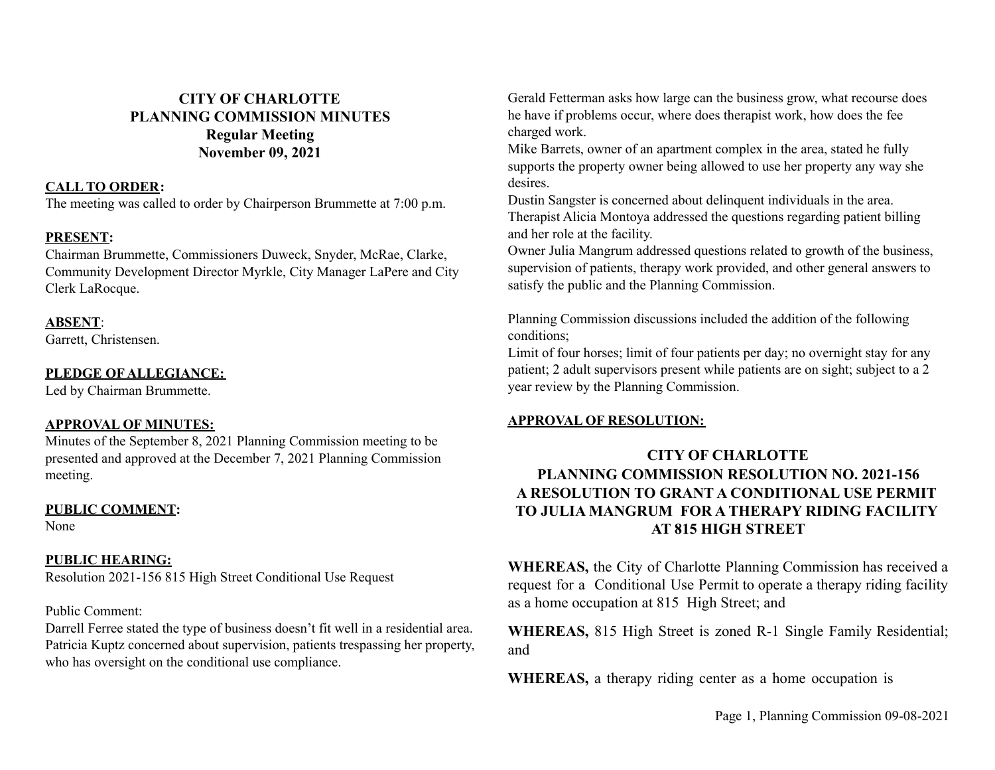# **CITY OF CHARLOTTE PLANNING COMMISSION MINUTES Regular Meeting November 09, 2021**

#### **CALL TO ORDER:**

The meeting was called to order by Chairperson Brummette at 7:00 p.m.

## **PRESENT:**

Chairman Brummette, Commissioners Duweck, Snyder, McRae, Clarke, Community Development Director Myrkle, City Manager LaPere and City Clerk LaRocque.

## **ABSENT**:

Garrett, Christensen.

## **PLEDGE OF ALLEGIANCE:**

Led by Chairman Brummette.

## **APPROVAL OF MINUTES:**

Minutes of the September 8, 2021 Planning Commission meeting to be presented and approved at the December 7, 2021 Planning Commission meeting.

#### **PUBLIC COMMENT:**

None

## **PUBLIC HEARING:**

Resolution 2021-156 815 High Street Conditional Use Request

#### Public Comment:

Darrell Ferree stated the type of business doesn't fit well in a residential area. Patricia Kuptz concerned about supervision, patients trespassing her property, who has oversight on the conditional use compliance.

Gerald Fetterman asks how large can the business grow, what recourse does he have if problems occur, where does therapist work, how does the fee charged work.

Mike Barrets, owner of an apartment complex in the area, stated he fully supports the property owner being allowed to use her property any way she desires.

Dustin Sangster is concerned about delinquent individuals in the area. Therapist Alicia Montoya addressed the questions regarding patient billing and her role at the facility.

Owner Julia Mangrum addressed questions related to growth of the business, supervision of patients, therapy work provided, and other general answers to satisfy the public and the Planning Commission.

Planning Commission discussions included the addition of the following conditions;

Limit of four horses; limit of four patients per day; no overnight stay for any patient; 2 adult supervisors present while patients are on sight; subject to a 2 year review by the Planning Commission.

## **APPROVAL OF RESOLUTION:**

# **CITY OF CHARLOTTE PLANNING COMMISSION RESOLUTION NO. 2021-156 A RESOLUTION TO GRANT A CONDITIONAL USE PERMIT TO JULIA MANGRUM FOR A THERAPY RIDING FACILITY AT 815 HIGH STREET**

**WHEREAS,** the City of Charlotte Planning Commission has received a request for a Conditional Use Permit to operate a therapy riding facility as a home occupation at 815 High Street; and

**WHEREAS,** 815 High Street is zoned R-1 Single Family Residential; and

**WHEREAS,** a therapy riding center as a home occupation is

Page 1, Planning Commission 09-08-2021